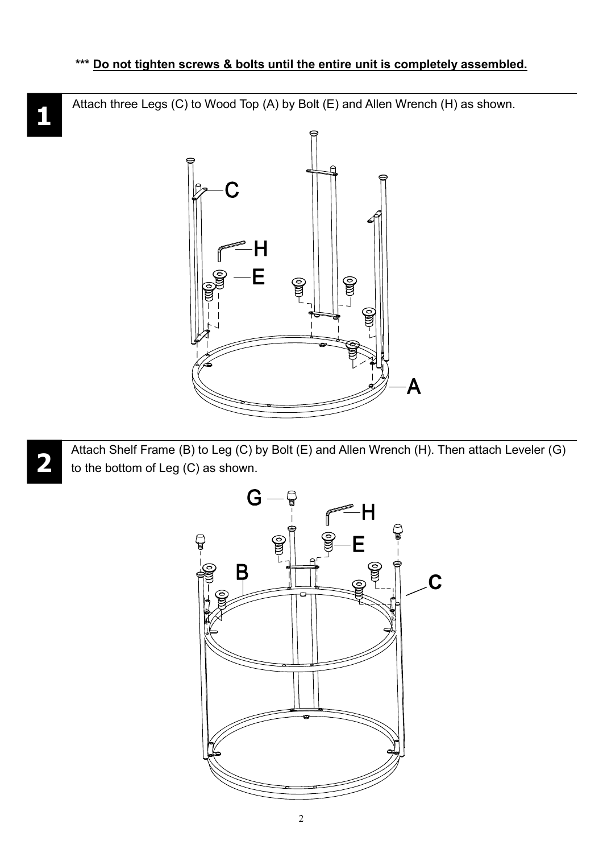Attach three Legs (C) to Wood Top (A) by Bolt (E) and Allen Wrench (H) as shown.



Attach Shelf Frame (B) to Leg (C) by Bolt (E) and Allen Wrench (H). Then attach Leveler (G) to the bottom of Leg (C) as shown.



2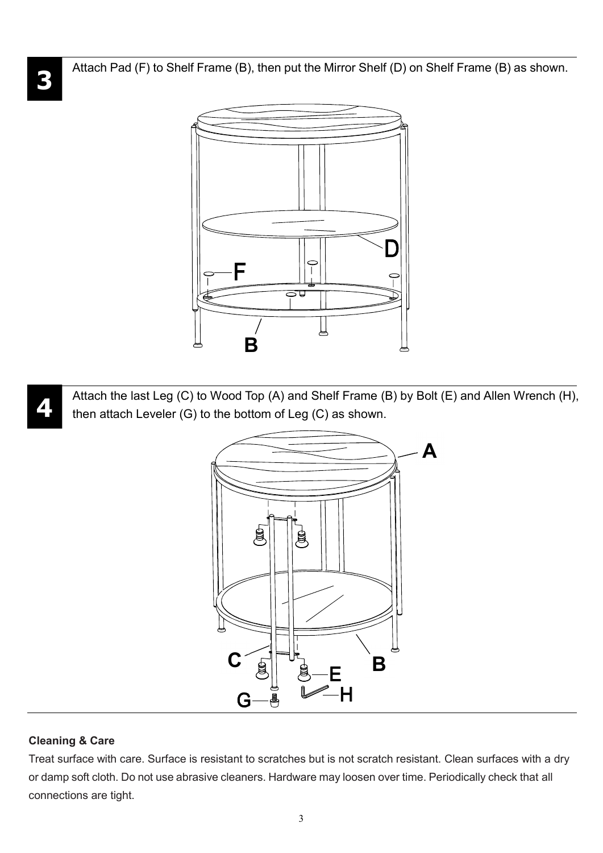Attach Pad (F) to Shelf Frame (B), then put the Mirror Shelf (D) on Shelf Frame (B) as shown.



Attach the last Leg (C) to Wood Top (A) and Shelf Frame (B) by Bolt (E) and Allen Wrench (H), then attach Leveler (G) to the bottom of Leg (C) as shown.



## Cleaning & Care

Treat surface with care. Surface is resistant to scratches but is not scratch resistant. Clean surfaces with a dry or damp soft cloth. Do not use abrasive cleaners. Hardware may loosen over time. Periodically check that all connections are tight.